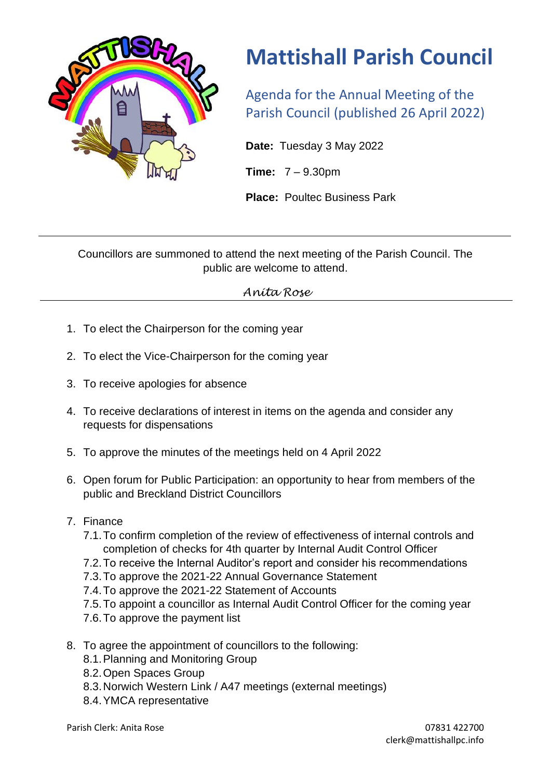

## **Mattishall Parish Council**

Agenda for the Annual Meeting of the Parish Council (published 26 April 2022)

**Date:** Tuesday 3 May 2022

**Time:** 7 – 9.30pm

**Place:** Poultec Business Park

Councillors are summoned to attend the next meeting of the Parish Council. The public are welcome to attend.

## *Anita Rose*

- 1. To elect the Chairperson for the coming year
- 2. To elect the Vice-Chairperson for the coming year
- 3. To receive apologies for absence
- 4. To receive declarations of interest in items on the agenda and consider any requests for dispensations
- 5. To approve the minutes of the meetings held on 4 April 2022
- 6. Open forum for Public Participation: an opportunity to hear from members of the public and Breckland District Councillors
- 7. Finance
	- 7.1.To confirm completion of the review of effectiveness of internal controls and completion of checks for 4th quarter by Internal Audit Control Officer
	- 7.2.To receive the Internal Auditor's report and consider his recommendations
	- 7.3.To approve the 2021-22 Annual Governance Statement
	- 7.4.To approve the 2021-22 Statement of Accounts
	- 7.5.To appoint a councillor as Internal Audit Control Officer for the coming year
	- 7.6.To approve the payment list
- 8. To agree the appointment of councillors to the following:
	- 8.1.Planning and Monitoring Group
	- 8.2.Open Spaces Group
	- 8.3.Norwich Western Link / A47 meetings (external meetings)
	- 8.4.YMCA representative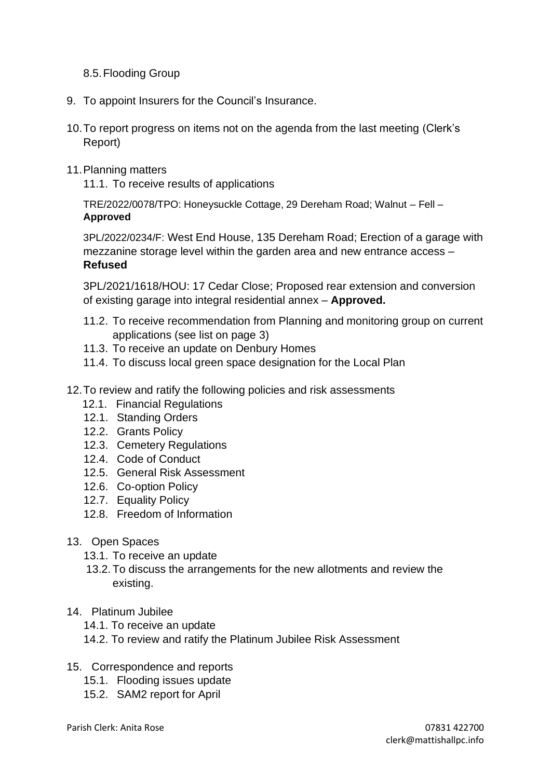8.5.Flooding Group

- 9. To appoint Insurers for the Council's Insurance.
- 10.To report progress on items not on the agenda from the last meeting (Clerk's Report)
- 11.Planning matters

11.1. To receive results of applications

TRE/2022/0078/TPO: Honeysuckle Cottage, 29 Dereham Road; Walnut – Fell – **Approved**

3PL/2022/0234/F: West End House, 135 Dereham Road; Erection of a garage with mezzanine storage level within the garden area and new entrance access – **Refused**

3PL/2021/1618/HOU: 17 Cedar Close; Proposed rear extension and conversion of existing garage into integral residential annex – **Approved.**

- 11.2. To receive recommendation from Planning and monitoring group on current applications (see list on page 3)
- 11.3. To receive an update on Denbury Homes
- 11.4. To discuss local green space designation for the Local Plan
- 12.To review and ratify the following policies and risk assessments
	- 12.1. Financial Regulations
	- 12.1. Standing Orders
	- 12.2. Grants Policy
	- 12.3. Cemetery Regulations
	- 12.4. Code of Conduct
	- 12.5. General Risk Assessment
	- 12.6. Co-option Policy
	- 12.7. Equality Policy
	- 12.8. Freedom of Information
- 13. Open Spaces
	- 13.1. To receive an update
	- 13.2. To discuss the arrangements for the new allotments and review the existing.
- 14. Platinum Jubilee
	- 14.1. To receive an update
	- 14.2. To review and ratify the Platinum Jubilee Risk Assessment
- 15. Correspondence and reports
	- 15.1. Flooding issues update
	- 15.2. SAM2 report for April